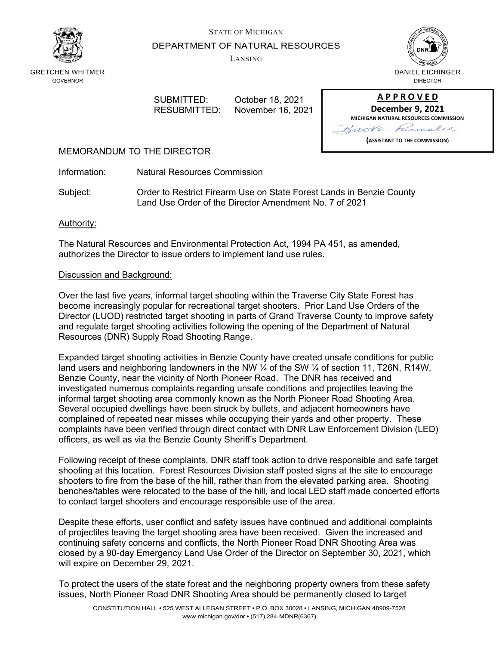



DEPARTMENT OF NATURAL RESOURCES

LANSING



GRETCHEN WHITMER GOVERNOR

SUBMITTED: October 18, 2021 RESUBMITTED: November 16, 2021

| <b>APPROVED</b>                              |
|----------------------------------------------|
| <b>December 9, 2021</b>                      |
| <b>MICHIGAN NATURAL RESOURCES COMMISSION</b> |
| Brooke Farmalie                              |
| (ASSISTANT TO THE COMMISSION)                |

## MEMORANDUM TO THE DIRECTOR

Information: Natural Resources Commission

Subject: Order to Restrict Firearm Use on State Forest Lands in Benzie County Land Use Order of the Director Amendment No. 7 of 2021

### Authority:

The Natural Resources and Environmental Protection Act, 1994 PA 451, as amended, authorizes the Director to issue orders to implement land use rules.

## Discussion and Background:

Over the last five years, informal target shooting within the Traverse City State Forest has become increasingly popular for recreational target shooters. Prior Land Use Orders of the Director (LUOD) restricted target shooting in parts of Grand Traverse County to improve safety and regulate target shooting activities following the opening of the Department of Natural Resources (DNR) Supply Road Shooting Range.

Expanded target shooting activities in Benzie County have created unsafe conditions for public land users and neighboring landowners in the NW  $\frac{1}{4}$  of the SW  $\frac{1}{4}$  of section 11, T26N, R14W, Benzie County, near the vicinity of North Pioneer Road. The DNR has received and investigated numerous complaints regarding unsafe conditions and projectiles leaving the informal target shooting area commonly known as the North Pioneer Road Shooting Area. Several occupied dwellings have been struck by bullets, and adjacent homeowners have complained of repeated near misses while occupying their yards and other property. These complaints have been verified through direct contact with DNR Law Enforcement Division (LED) officers, as well as via the Benzie County Sheriff's Department.

Following receipt of these complaints, DNR staff took action to drive responsible and safe target shooting at this location. Forest Resources Division staff posted signs at the site to encourage shooters to fire from the base of the hill, rather than from the elevated parking area. Shooting benches/tables were relocated to the base of the hill, and local LED staff made concerted efforts to contact target shooters and encourage responsible use of the area.

Despite these efforts, user conflict and safety issues have continued and additional complaints of projectiles leaving the target shooting area have been received. Given the increased and continuing safety concerns and conflicts, the North Pioneer Road DNR Shooting Area was closed by a 90-day Emergency Land Use Order of the Director on September 30, 2021, which will expire on December 29, 2021.

To protect the users of the state forest and the neighboring property owners from these safety issues, North Pioneer Road DNR Shooting Area should be permanently closed to target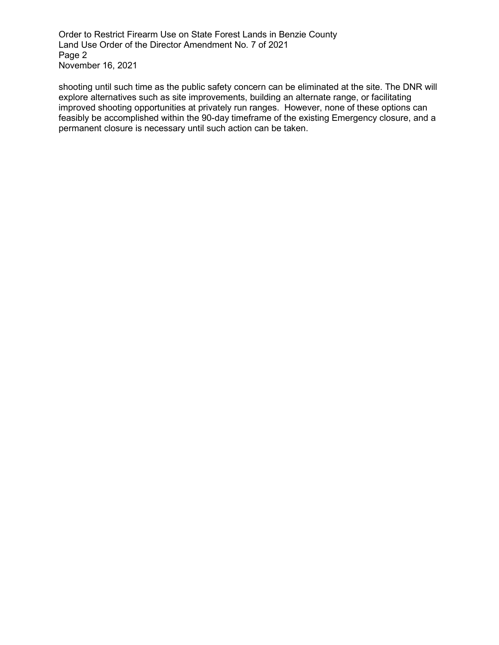Order to Restrict Firearm Use on State Forest Lands in Benzie County Land Use Order of the Director Amendment No. 7 of 2021 Page 2 November 16, 2021

shooting until such time as the public safety concern can be eliminated at the site. The DNR will explore alternatives such as site improvements, building an alternate range, or facilitating improved shooting opportunities at privately run ranges. However, none of these options can feasibly be accomplished within the 90-day timeframe of the existing Emergency closure, and a permanent closure is necessary until such action can be taken.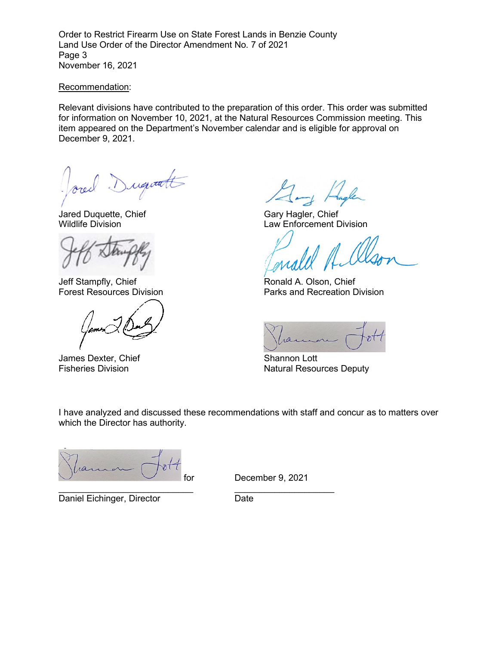Order to Restrict Firearm Use on State Forest Lands in Benzie County Land Use Order of the Director Amendment No. 7 of 2021 Page 3 November 16, 2021

#### Recommendation:

Relevant divisions have contributed to the preparation of this order. This order was submitted for information on November 10, 2021, at the Natural Resources Commission meeting. This item appeared on the Department's November calendar and is eligible for approval on December 9, 2021.

Duquatt

Jared Duquette, Chief Gary Hagler, Chief Gary Hagler, Chief Gary Hagler, Chief Gary Hagler, Chief Gary Hagler, Chief Gary Hagler, Chief Gary Hagler, Chief Gary Hagler, Chief Gary Hagler, Chief Gary Hagler, Chief Gary Hagle

Jeff Stampfly, Chief **Ronald A. Olson, Chief** Ronald A. Olson, Chief

James Dexter, Chief Shannon Lott<br>Fisheries Division Shannon Lott Natural Resou

Law Enforcement Division

Forest Resources Division **Parks** and Recreation Division

Natural Resources Deputy

I have analyzed and discussed these recommendations with staff and concur as to matters over which the Director has authority.

ra

Daniel Eichinger, Director **Date** Date

for December 9, 2021

\_\_\_\_\_\_\_\_\_\_\_\_\_\_\_\_\_\_\_\_\_\_\_\_\_\_\_ \_\_\_\_\_\_\_\_\_\_\_\_\_\_\_\_\_\_\_\_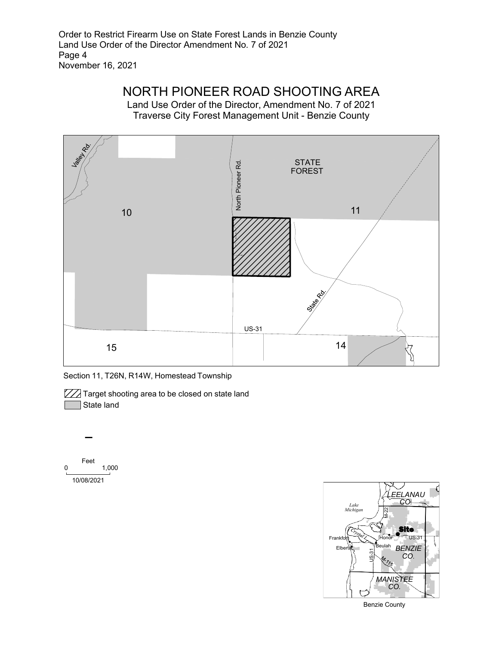Order to Restrict Firearm Use on State Forest Lands in Benzie County Land Use Order of the Director Amendment No. 7 of 2021 Page 4 November 16, 2021

# NORTH PIONEER ROAD SHOOTING AREA

Land Use Order of the Director, Amendment No. 7 of 2021 Traverse City Forest Management Unit - Benzie County



Section 11, T26N, R14W, Homestead Township

**777** Target shooting area to be closed on state land State land





Benzie County